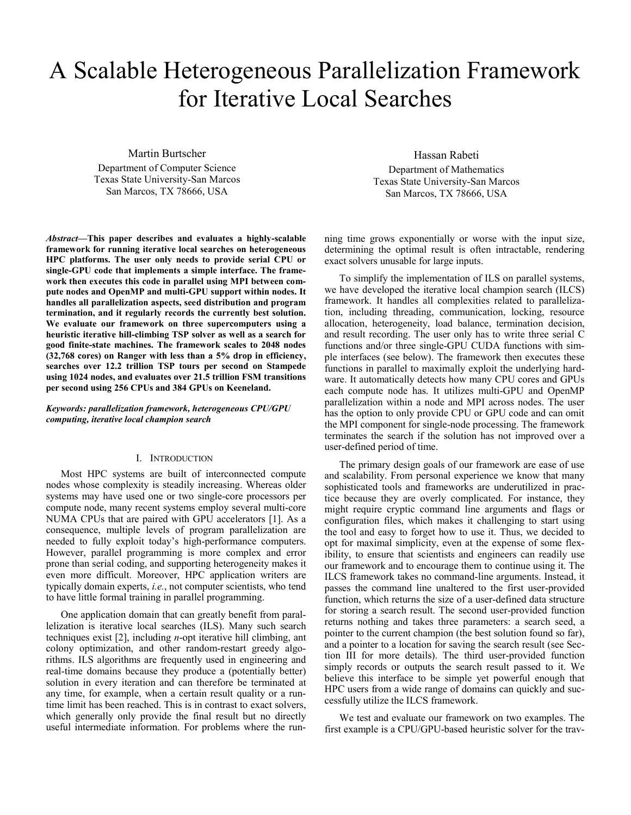# A Scalable Heterogeneous Parallelization Framework for Iterative Local Searches

Martin Burtscher Department of Computer Science Texas State University-San Marcos San Marcos, TX 78666, USA

*Abstract***—This paper describes and evaluates a highly-scalable framework for running iterative local searches on heterogeneous HPC platforms. The user only needs to provide serial CPU or single-GPU code that implements a simple interface. The framework then executes this code in parallel using MPI between compute nodes and OpenMP and multi-GPU support within nodes. It handles all parallelization aspects, seed distribution and program termination, and it regularly records the currently best solution. We evaluate our framework on three supercomputers using a heuristic iterative hill-climbing TSP solver as well as a search for good finite-state machines. The framework scales to 2048 nodes (32,768 cores) on Ranger with less than a 5% drop in efficiency, searches over 12.2 trillion TSP tours per second on Stampede using 1024 nodes, and evaluates over 21.5 trillion FSM transitions per second using 256 CPUs and 384 GPUs on Keeneland.**

*Keywords: parallelization framework, heterogeneous CPU/GPU computing, iterative local champion search*

## I. INTRODUCTION

Most HPC systems are built of interconnected compute nodes whose complexity is steadily increasing. Whereas older systems may have used one or two single-core processors per compute node, many recent systems employ several multi-core NUMA CPUs that are paired with GPU accelerators [\[1\].](#page-9-0) As a consequence, multiple levels of program parallelization are needed to fully exploit today"s high-performance computers. However, parallel programming is more complex and error prone than serial coding, and supporting heterogeneity makes it even more difficult. Moreover, HPC application writers are typically domain experts, *i.e.*, not computer scientists, who tend to have little formal training in parallel programming.

One application domain that can greatly benefit from parallelization is iterative local searches (ILS). Many such search techniques exist [\[2\],](#page-9-1) including *n*-opt iterative hill climbing, ant colony optimization, and other random-restart greedy algorithms. ILS algorithms are frequently used in engineering and real-time domains because they produce a (potentially better) solution in every iteration and can therefore be terminated at any time, for example, when a certain result quality or a runtime limit has been reached. This is in contrast to exact solvers, which generally only provide the final result but no directly useful intermediate information. For problems where the run-

Hassan Rabeti Department of Mathematics Texas State University-San Marcos San Marcos, TX 78666, USA

ning time grows exponentially or worse with the input size, determining the optimal result is often intractable, rendering exact solvers unusable for large inputs.

To simplify the implementation of ILS on parallel systems, we have developed the iterative local champion search (ILCS) framework. It handles all complexities related to parallelization, including threading, communication, locking, resource allocation, heterogeneity, load balance, termination decision, and result recording. The user only has to write three serial C functions and/or three single-GPU CUDA functions with simple interfaces (see below). The framework then executes these functions in parallel to maximally exploit the underlying hardware. It automatically detects how many CPU cores and GPUs each compute node has. It utilizes multi-GPU and OpenMP parallelization within a node and MPI across nodes. The user has the option to only provide CPU or GPU code and can omit the MPI component for single-node processing. The framework terminates the search if the solution has not improved over a user-defined period of time.

The primary design goals of our framework are ease of use and scalability. From personal experience we know that many sophisticated tools and frameworks are underutilized in practice because they are overly complicated. For instance, they might require cryptic command line arguments and flags or configuration files, which makes it challenging to start using the tool and easy to forget how to use it. Thus, we decided to opt for maximal simplicity, even at the expense of some flexibility, to ensure that scientists and engineers can readily use our framework and to encourage them to continue using it. The ILCS framework takes no command-line arguments. Instead, it passes the command line unaltered to the first user-provided function, which returns the size of a user-defined data structure for storing a search result. The second user-provided function returns nothing and takes three parameters: a search seed, a pointer to the current champion (the best solution found so far), and a pointer to a location for saving the search result (see Section [III](#page-2-0) for more details). The third user-provided function simply records or outputs the search result passed to it. We believe this interface to be simple yet powerful enough that HPC users from a wide range of domains can quickly and successfully utilize the ILCS framework.

We test and evaluate our framework on two examples. The first example is a CPU/GPU-based heuristic solver for the trav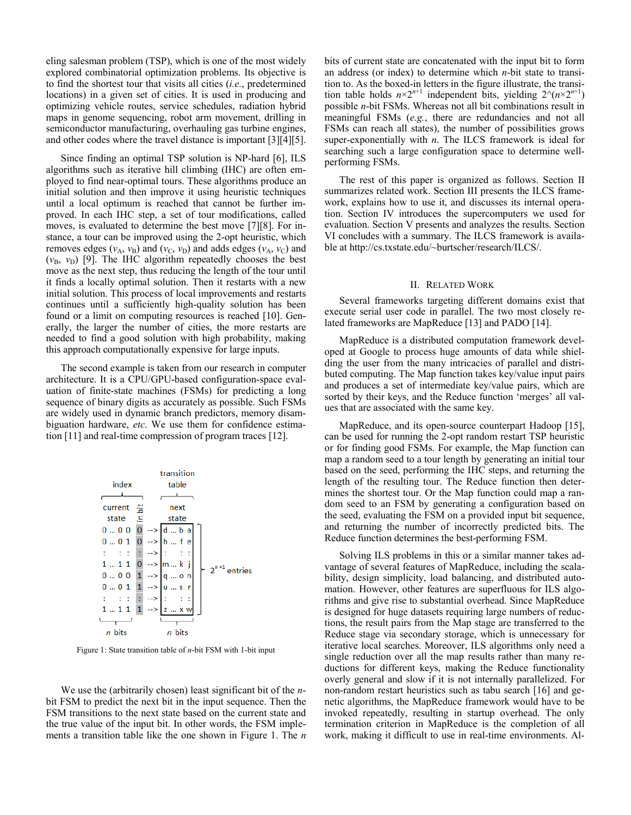eling salesman problem (TSP), which is one of the most widely explored combinatorial optimization problems. Its objective is to find the shortest tour that visits all cities (*i.e.*, predetermined locations) in a given set of cities. It is used in producing and optimizing vehicle routes, service schedules, radiation hybrid maps in genome sequencing, robot arm movement, drilling in semiconductor manufacturing, overhauling gas turbine engines, and other codes where the travel distance is important [\[3\]\[4\]](#page-9-2)[\[5\].](#page-9-3)

Since finding an optimal TSP solution is NP-hard [\[6\],](#page-9-4) ILS algorithms such as iterative hill climbing (IHC) are often employed to find near-optimal tours. These algorithms produce an initial solution and then improve it using heuristic techniques until a local optimum is reached that cannot be further improved. In each IHC step, a set of tour modifications, called moves, is evaluated to determine the best move [\[7\]\[8\].](#page-9-5) For instance, a tour can be improved using the 2-opt heuristic, which removes edges  $(v_A, v_B)$  and  $(v_C, v_D)$  and adds edges  $(v_A, v_C)$  and  $(v_{\text{B}}$ ,  $v_{\text{D}})$  [\[9\].](#page-9-6) The IHC algorithm repeatedly chooses the best move as the next step, thus reducing the length of the tour until it finds a locally optimal solution. Then it restarts with a new initial solution. This process of local improvements and restarts continues until a sufficiently high-quality solution has been found or a limit on computing resources is reached [\[10\].](#page-9-7) Generally, the larger the number of cities, the more restarts are needed to find a good solution with high probability, making this approach computationally expensive for large inputs.

The second example is taken from our research in computer architecture. It is a CPU/GPU-based configuration-space evaluation of finite-state machines (FSMs) for predicting a long sequence of binary digits as accurately as possible. Such FSMs are widely used in dynamic branch predictors, memory disambiguation hardware, *etc*. We use them for confidence estimation [\[11\]](#page-9-8) and real-time compression of program traces [\[12\].](#page-9-9)



<span id="page-1-0"></span>Figure 1: State transition table of *n*-bit FSM with 1-bit input

We use the (arbitrarily chosen) least significant bit of the *n*bit FSM to predict the next bit in the input sequence. Then the FSM transitions to the next state based on the current state and the true value of the input bit. In other words, the FSM implements a transition table like the one shown in [Figure 1.](#page-1-0) The *n* bits of current state are concatenated with the input bit to form an address (or index) to determine which *n*-bit state to transition to. As the boxed-in letters in the figure illustrate, the transition table holds  $n \times 2^{n+1}$  independent bits, yielding  $2^{n} (n \times 2^{n+1})$ possible *n*-bit FSMs. Whereas not all bit combinations result in meaningful FSMs (*e.g.*, there are redundancies and not all FSMs can reach all states), the number of possibilities grows super-exponentially with *n*. The ILCS framework is ideal for searching such a large configuration space to determine wellperforming FSMs.

The rest of this paper is organized as follows. Section [II](#page-1-1) summarizes related work. Section [III](#page-2-0) presents the ILCS framework, explains how to use it, and discusses its internal operation. Section [IV](#page-4-0) introduces the supercomputers we used for evaluation. Sectio[n V](#page-5-0) presents and analyzes the results. Section [VI](#page-8-0) concludes with a summary. The ILCS framework is available at http://cs.txstate.edu/~burtscher/research/ILCS/.

#### II. RELATED WORK

<span id="page-1-1"></span>Several frameworks targeting different domains exist that execute serial user code in parallel. The two most closely related frameworks are MapReduce [\[13\]](#page-9-10) and PADO [\[14\].](#page-9-11)

MapReduce is a distributed computation framework developed at Google to process huge amounts of data while shielding the user from the many intricacies of parallel and distributed computing. The Map function takes key/value input pairs and produces a set of intermediate key/value pairs, which are sorted by their keys, and the Reduce function 'merges' all values that are associated with the same key.

MapReduce, and its open-source counterpart Hadoop [\[15\],](#page-9-12) can be used for running the 2-opt random restart TSP heuristic or for finding good FSMs. For example, the Map function can map a random seed to a tour length by generating an initial tour based on the seed, performing the IHC steps, and returning the length of the resulting tour. The Reduce function then determines the shortest tour. Or the Map function could map a random seed to an FSM by generating a configuration based on the seed, evaluating the FSM on a provided input bit sequence, and returning the number of incorrectly predicted bits. The Reduce function determines the best-performing FSM.

Solving ILS problems in this or a similar manner takes advantage of several features of MapReduce, including the scalability, design simplicity, load balancing, and distributed automation. However, other features are superfluous for ILS algorithms and give rise to substantial overhead. Since MapReduce is designed for huge datasets requiring large numbers of reductions, the result pairs from the Map stage are transferred to the Reduce stage via secondary storage, which is unnecessary for iterative local searches. Moreover, ILS algorithms only need a single reduction over all the map results rather than many reductions for different keys, making the Reduce functionality overly general and slow if it is not internally parallelized. For non-random restart heuristics such as tabu search [\[16\]](#page-9-13) and genetic algorithms, the MapReduce framework would have to be invoked repeatedly, resulting in startup overhead. The only termination criterion in MapReduce is the completion of all work, making it difficult to use in real-time environments. Al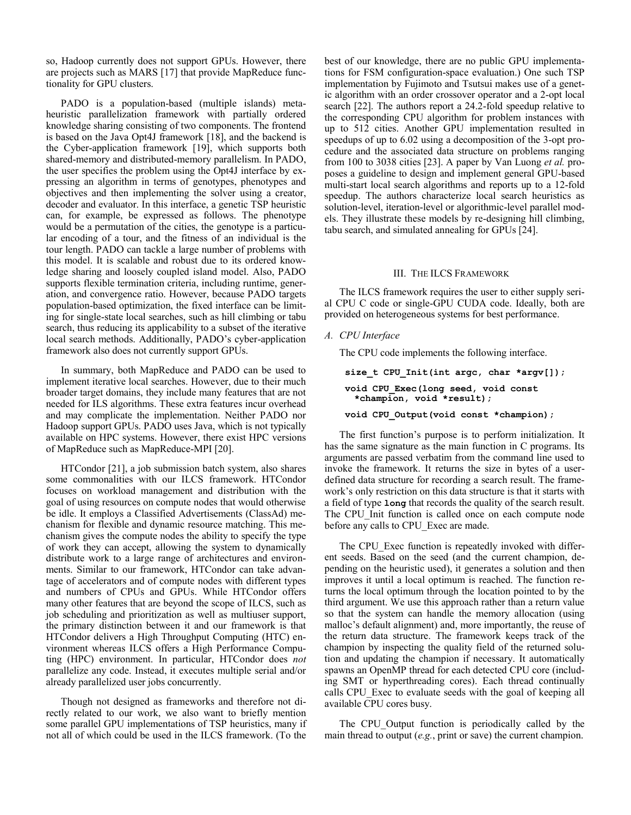so, Hadoop currently does not support GPUs. However, there are projects such as MARS [\[17\]](#page-9-14) that provide MapReduce functionality for GPU clusters.

PADO is a population-based (multiple islands) metaheuristic parallelization framework with partially ordered knowledge sharing consisting of two components. The frontend is based on the Java Opt4J framework [\[18\],](#page-9-15) and the backend is the Cyber-application framework [\[19\],](#page-9-16) which supports both shared-memory and distributed-memory parallelism. In PADO, the user specifies the problem using the Opt4J interface by expressing an algorithm in terms of genotypes, phenotypes and objectives and then implementing the solver using a creator, decoder and evaluator. In this interface, a genetic TSP heuristic can, for example, be expressed as follows. The phenotype would be a permutation of the cities, the genotype is a particular encoding of a tour, and the fitness of an individual is the tour length. PADO can tackle a large number of problems with this model. It is scalable and robust due to its ordered knowledge sharing and loosely coupled island model. Also, PADO supports flexible termination criteria, including runtime, generation, and convergence ratio. However, because PADO targets population-based optimization, the fixed interface can be limiting for single-state local searches, such as hill climbing or tabu search, thus reducing its applicability to a subset of the iterative local search methods. Additionally, PADO"s cyber-application framework also does not currently support GPUs.

In summary, both MapReduce and PADO can be used to implement iterative local searches. However, due to their much broader target domains, they include many features that are not needed for ILS algorithms. These extra features incur overhead and may complicate the implementation. Neither PADO nor Hadoop support GPUs. PADO uses Java, which is not typically available on HPC systems. However, there exist HPC versions of MapReduce such as MapReduce-MPI [\[20\].](#page-9-17)

HTCondor [\[21\],](#page-9-18) a job submission batch system, also shares some commonalities with our ILCS framework. HTCondor focuses on workload management and distribution with the goal of using resources on compute nodes that would otherwise be idle. It employs a Classified Advertisements (ClassAd) mechanism for flexible and dynamic resource matching. This mechanism gives the compute nodes the ability to specify the type of work they can accept, allowing the system to dynamically distribute work to a large range of architectures and environments. Similar to our framework, HTCondor can take advantage of accelerators and of compute nodes with different types and numbers of CPUs and GPUs. While HTCondor offers many other features that are beyond the scope of ILCS, such as job scheduling and prioritization as well as multiuser support, the primary distinction between it and our framework is that HTCondor delivers a High Throughput Computing (HTC) environment whereas ILCS offers a High Performance Computing (HPC) environment. In particular, HTCondor does *not* parallelize any code. Instead, it executes multiple serial and/or already parallelized user jobs concurrently.

Though not designed as frameworks and therefore not directly related to our work, we also want to briefly mention some parallel GPU implementations of TSP heuristics, many if not all of which could be used in the ILCS framework. (To the

best of our knowledge, there are no public GPU implementations for FSM configuration-space evaluation.) One such TSP implementation by Fujimoto and Tsutsui makes use of a genetic algorithm with an order crossover operator and a 2-opt local search [\[22\].](#page-9-19) The authors report a 24.2-fold speedup relative to the corresponding CPU algorithm for problem instances with up to 512 cities. Another GPU implementation resulted in speedups of up to 6.02 using a decomposition of the 3-opt procedure and the associated data structure on problems ranging from 100 to 3038 cities [\[23\].](#page-9-20) A paper by Van Luong *et al.* proposes a guideline to design and implement general GPU-based multi-start local search algorithms and reports up to a 12-fold speedup. The authors characterize local search heuristics as solution-level, iteration-level or algorithmic-level parallel models. They illustrate these models by re-designing hill climbing, tabu search, and simulated annealing for GPUs [\[24\].](#page-9-21)

#### III. THE ILCS FRAMEWORK

<span id="page-2-0"></span>The ILCS framework requires the user to either supply serial CPU C code or single-GPU CUDA code. Ideally, both are provided on heterogeneous systems for best performance.

## *A. CPU Interface*

The CPU code implements the following interface.

**size\_t CPU\_Init(int argc, char \*argv[]); void CPU\_Exec(long seed, void const \*champion, void \*result);**

# **void CPU\_Output(void const \*champion);**

The first function"s purpose is to perform initialization. It has the same signature as the main function in C programs. Its arguments are passed verbatim from the command line used to invoke the framework. It returns the size in bytes of a userdefined data structure for recording a search result. The framework"s only restriction on this data structure is that it starts with a field of type **long** that records the quality of the search result. The CPU Init function is called once on each compute node before any calls to CPU Exec are made.

The CPU Exec function is repeatedly invoked with different seeds. Based on the seed (and the current champion, depending on the heuristic used), it generates a solution and then improves it until a local optimum is reached. The function returns the local optimum through the location pointed to by the third argument. We use this approach rather than a return value so that the system can handle the memory allocation (using malloc"s default alignment) and, more importantly, the reuse of the return data structure. The framework keeps track of the champion by inspecting the quality field of the returned solution and updating the champion if necessary. It automatically spawns an OpenMP thread for each detected CPU core (including SMT or hyperthreading cores). Each thread continually calls CPU\_Exec to evaluate seeds with the goal of keeping all available CPU cores busy.

The CPU\_Output function is periodically called by the main thread to output (*e.g.*, print or save) the current champion.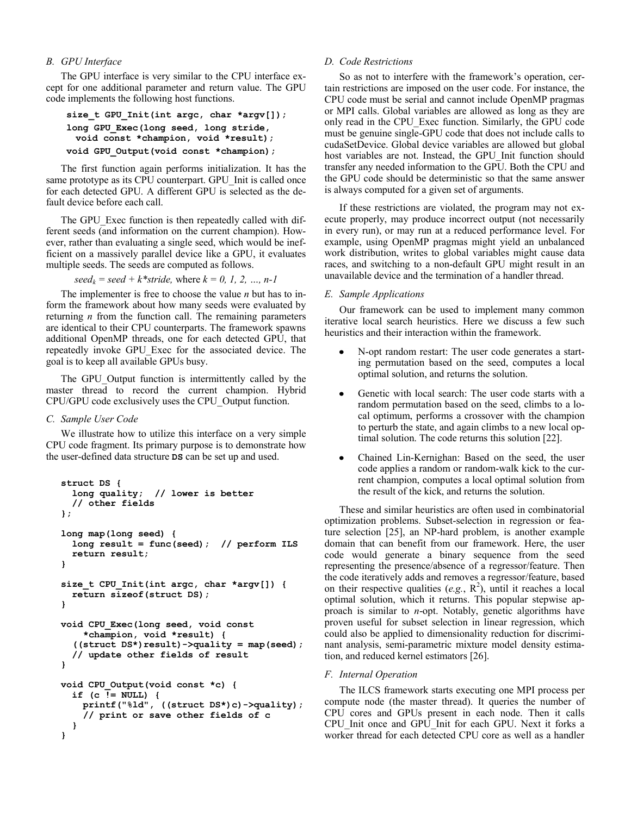### *B. GPU Interface*

The GPU interface is very similar to the CPU interface except for one additional parameter and return value. The GPU code implements the following host functions.

```
size_t GPU_Init(int argc, char *argv[]);
long GPU_Exec(long seed, long stride,
 void const *champion, void *result);
void GPU_Output(void const *champion);
```
The first function again performs initialization. It has the same prototype as its CPU counterpart. GPU\_Init is called once for each detected GPU. A different GPU is selected as the default device before each call.

The GPU Exec function is then repeatedly called with different seeds (and information on the current champion). However, rather than evaluating a single seed, which would be inefficient on a massively parallel device like a GPU, it evaluates multiple seeds. The seeds are computed as follows.

 $seed_k = seed + k^*$ stride, where  $k = 0, 1, 2, ..., n-1$ 

The implementer is free to choose the value *n* but has to inform the framework about how many seeds were evaluated by returning *n* from the function call. The remaining parameters are identical to their CPU counterparts. The framework spawns additional OpenMP threads, one for each detected GPU, that repeatedly invoke GPU\_Exec for the associated device. The goal is to keep all available GPUs busy.

The GPU\_Output function is intermittently called by the master thread to record the current champion. Hybrid CPU/GPU code exclusively uses the CPU\_Output function.

## *C. Sample User Code*

We illustrate how to utilize this interface on a very simple CPU code fragment. Its primary purpose is to demonstrate how the user-defined data structure **DS** can be set up and used.

```
struct DS {
   long quality; // lower is better
   // other fields
};
long map(long seed) {
   long result = func(seed); // perform ILS
   return result;
}
size_t CPU_Init(int argc, char *argv[]) {
   return sizeof(struct DS);
}
void CPU_Exec(long seed, void const 
    *champion, void *result) {
   ((struct DS*)result)->quality = map(seed);
   // update other fields of result
}
void CPU_Output(void const *c) {
  if (c \mid = NULL) {
     printf("%ld", ((struct DS*)c)->quality);
     // print or save other fields of c
  }
}
```
#### *D. Code Restrictions*

So as not to interfere with the framework's operation, certain restrictions are imposed on the user code. For instance, the CPU code must be serial and cannot include OpenMP pragmas or MPI calls. Global variables are allowed as long as they are only read in the CPU\_Exec function. Similarly, the GPU code must be genuine single-GPU code that does not include calls to cudaSetDevice. Global device variables are allowed but global host variables are not. Instead, the GPU\_Init function should transfer any needed information to the GPU. Both the CPU and the GPU code should be deterministic so that the same answer is always computed for a given set of arguments.

If these restrictions are violated, the program may not execute properly, may produce incorrect output (not necessarily in every run), or may run at a reduced performance level. For example, using OpenMP pragmas might yield an unbalanced work distribution, writes to global variables might cause data races, and switching to a non-default GPU might result in an unavailable device and the termination of a handler thread.

## *E. Sample Applications*

Our framework can be used to implement many common iterative local search heuristics. Here we discuss a few such heuristics and their interaction within the framework.

- N-opt random restart: The user code generates a start- $\bullet$ ing permutation based on the seed, computes a local optimal solution, and returns the solution.
- Genetic with local search: The user code starts with a random permutation based on the seed, climbs to a local optimum, performs a crossover with the champion to perturb the state, and again climbs to a new local optimal solution. The code returns this solution [\[22\].](#page-9-19)
- Chained Lin-Kernighan: Based on the seed, the user code applies a random or random-walk kick to the current champion, computes a local optimal solution from the result of the kick, and returns the solution.

These and similar heuristics are often used in combinatorial optimization problems. Subset-selection in regression or feature selection [\[25\],](#page-9-22) an NP-hard problem, is another example domain that can benefit from our framework. Here, the user code would generate a binary sequence from the seed representing the presence/absence of a regressor/feature. Then the code iteratively adds and removes a regressor/feature, based on their respective qualities (*e.g.*,  $R^2$ ), until it reaches a local optimal solution, which it returns. This popular stepwise approach is similar to *n*-opt. Notably, genetic algorithms have proven useful for subset selection in linear regression, which could also be applied to dimensionality reduction for discriminant analysis, semi-parametric mixture model density estimation, and reduced kernel estimators [\[26\].](#page-9-23)

## *F. Internal Operation*

The ILCS framework starts executing one MPI process per compute node (the master thread). It queries the number of CPU cores and GPUs present in each node. Then it calls CPU\_Init once and GPU\_Init for each GPU. Next it forks a worker thread for each detected CPU core as well as a handler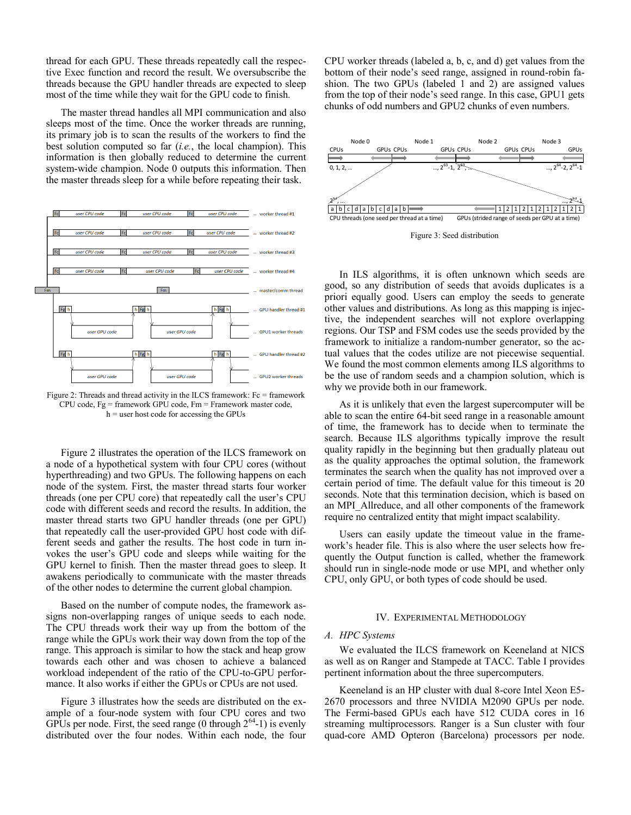thread for each GPU. These threads repeatedly call the respective Exec function and record the result. We oversubscribe the threads because the GPU handler threads are expected to sleep most of the time while they wait for the GPU code to finish.

The master thread handles all MPI communication and also sleeps most of the time. Once the worker threads are running, its primary job is to scan the results of the workers to find the best solution computed so far (*i.e.*, the local champion). This information is then globally reduced to determine the current system-wide champion. Node 0 outputs this information. Then the master threads sleep for a while before repeating their task.



<span id="page-4-1"></span>Figure 2: Threads and thread activity in the ILCS framework: Fc = framework CPU code, Fg = framework GPU code, Fm = Framework master code, h = user host code for accessing the GPUs

[Figure 2](#page-4-1) illustrates the operation of the ILCS framework on a node of a hypothetical system with four CPU cores (without hyperthreading) and two GPUs. The following happens on each node of the system. First, the master thread starts four worker threads (one per CPU core) that repeatedly call the user's CPU code with different seeds and record the results. In addition, the master thread starts two GPU handler threads (one per GPU) that repeatedly call the user-provided GPU host code with different seeds and gather the results. The host code in turn invokes the user"s GPU code and sleeps while waiting for the GPU kernel to finish. Then the master thread goes to sleep. It awakens periodically to communicate with the master threads of the other nodes to determine the current global champion.

Based on the number of compute nodes, the framework assigns non-overlapping ranges of unique seeds to each node. The CPU threads work their way up from the bottom of the range while the GPUs work their way down from the top of the range. This approach is similar to how the stack and heap grow towards each other and was chosen to achieve a balanced workload independent of the ratio of the CPU-to-GPU performance. It also works if either the GPUs or CPUs are not used.

[Figure 3](#page-4-2) illustrates how the seeds are distributed on the example of a four-node system with four CPU cores and two GPUs per node. First, the seed range (0 through  $2^{64}$ -1) is evenly distributed over the four nodes. Within each node, the four

CPU worker threads (labeled a, b, c, and d) get values from the bottom of their node's seed range, assigned in round-robin fashion. The two GPUs (labeled 1 and 2) are assigned values from the top of their node"s seed range. In this case, GPU1 gets chunks of odd numbers and GPU2 chunks of even numbers.



Figure 3: Seed distribution

<span id="page-4-2"></span>In ILS algorithms, it is often unknown which seeds are good, so any distribution of seeds that avoids duplicates is a priori equally good. Users can employ the seeds to generate other values and distributions. As long as this mapping is injective, the independent searches will not explore overlapping regions. Our TSP and FSM codes use the seeds provided by the framework to initialize a random-number generator, so the actual values that the codes utilize are not piecewise sequential. We found the most common elements among ILS algorithms to be the use of random seeds and a champion solution, which is why we provide both in our framework.

As it is unlikely that even the largest supercomputer will be able to scan the entire 64-bit seed range in a reasonable amount of time, the framework has to decide when to terminate the search. Because ILS algorithms typically improve the result quality rapidly in the beginning but then gradually plateau out as the quality approaches the optimal solution, the framework terminates the search when the quality has not improved over a certain period of time. The default value for this timeout is 20 seconds. Note that this termination decision, which is based on an MPI\_Allreduce, and all other components of the framework require no centralized entity that might impact scalability.

Users can easily update the timeout value in the framework"s header file. This is also where the user selects how frequently the Output function is called, whether the framework should run in single-node mode or use MPI, and whether only CPU, only GPU, or both types of code should be used.

## IV. EXPERIMENTAL METHODOLOGY

## <span id="page-4-0"></span>*A. HPC Systems*

We evaluated the ILCS framework on Keeneland at NICS as well as on Ranger and Stampede at TACC. [Table I](#page-5-1) provides pertinent information about the three supercomputers.

Keeneland is an HP cluster with dual 8-core Intel Xeon E5- 2670 processors and three NVIDIA M2090 GPUs per node. The Fermi-based GPUs each have 512 CUDA cores in 16 streaming multiprocessors. Ranger is a Sun cluster with four quad-core AMD Opteron (Barcelona) processors per node.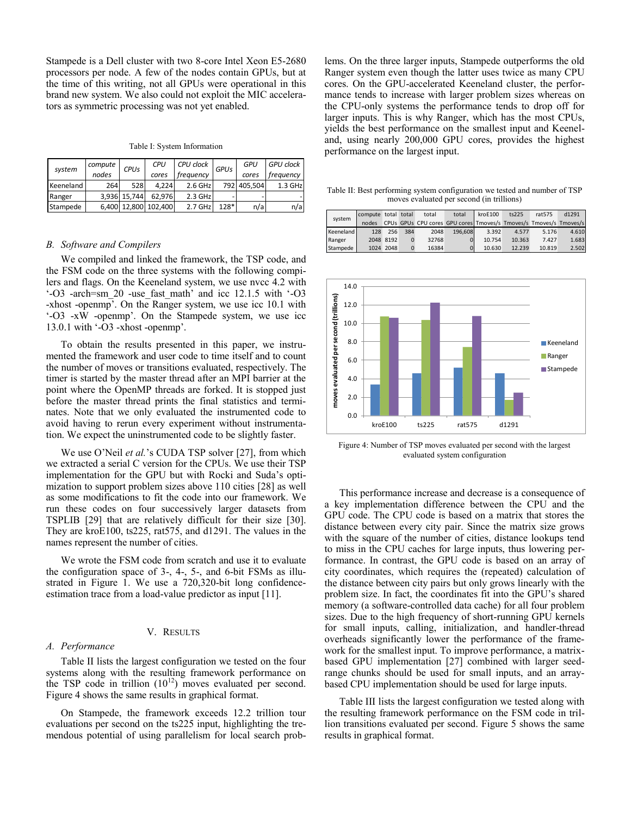Stampede is a Dell cluster with two 8-core Intel Xeon E5-2680 processors per node. A few of the nodes contain GPUs, but at the time of this writing, not all GPUs were operational in this brand new system. We also could not exploit the MIC accelerators as symmetric processing was not yet enabled.

Table I: System Information

<span id="page-5-1"></span>

| system    | compute | <b>CPU<sub>s</sub></b> | <b>CPU</b>           | CPU clock | <b>GPUs</b> | GPU     | <b>GPU clock</b> |
|-----------|---------|------------------------|----------------------|-----------|-------------|---------|------------------|
|           | nodes   |                        | cores                | frequency |             | cores   | frequency        |
| Keeneland | 264     | 528                    | 4.224                | $2.6$ GHz | 792         | 405.504 | $1.3$ GHz        |
| Ranger    |         | 3,936 15,744           | 62.976               | $2.3$ GHz |             |         |                  |
| Stampede  |         |                        | 6.400 12.800 102.400 | 2.7 GHz   | $128*$      | n/a     | n/a              |

#### *B. Software and Compilers*

We compiled and linked the framework, the TSP code, and the FSM code on the three systems with the following compilers and flags. On the Keeneland system, we use nvcc 4.2 with  $-03$  -arch=sm 20 -use fast math' and icc 12.1.5 with  $-03$ -xhost -openmp". On the Ranger system, we use icc 10.1 with "-O3 -xW -openmp". On the Stampede system, we use icc 13.0.1 with "-O3 -xhost -openmp".

To obtain the results presented in this paper, we instrumented the framework and user code to time itself and to count the number of moves or transitions evaluated, respectively. The timer is started by the master thread after an MPI barrier at the point where the OpenMP threads are forked. It is stopped just before the master thread prints the final statistics and terminates. Note that we only evaluated the instrumented code to avoid having to rerun every experiment without instrumentation. We expect the uninstrumented code to be slightly faster.

We use O'Neil *et al.*'s CUDA TSP solver [\[27\],](#page-9-24) from which we extracted a serial C version for the CPUs. We use their TSP implementation for the GPU but with Rocki and Suda"s optimization to support problem sizes above 110 cities [\[28\]](#page-9-25) as well as some modifications to fit the code into our framework. We run these codes on four successively larger datasets from TSPLIB [\[29\]](#page-9-26) that are relatively difficult for their size [\[30\].](#page-9-27) They are kroE100, ts225, rat575, and d1291. The values in the names represent the number of cities.

We wrote the FSM code from scratch and use it to evaluate the configuration space of 3-, 4-, 5-, and 6-bit FSMs as illustrated in [Figure 1.](#page-1-0) We use a 720,320-bit long confidenceestimation trace from a load-value predictor as input [\[11\].](#page-9-8)

#### V. RESULTS

#### <span id="page-5-0"></span>*A. Performance*

[Table II](#page-5-2) lists the largest configuration we tested on the four systems along with the resulting framework performance on the TSP code in trillion  $(10^{12})$  moves evaluated per second. [Figure 4](#page-5-3) shows the same results in graphical format.

On Stampede, the framework exceeds 12.2 trillion tour evaluations per second on the ts225 input, highlighting the tremendous potential of using parallelism for local search problems. On the three larger inputs, Stampede outperforms the old Ranger system even though the latter uses twice as many CPU cores. On the GPU-accelerated Keeneland cluster, the performance tends to increase with larger problem sizes whereas on the CPU-only systems the performance tends to drop off for larger inputs. This is why Ranger, which has the most CPUs, yields the best performance on the smallest input and Keeneland, using nearly 200,000 GPU cores, provides the highest performance on the largest input.

<span id="page-5-2"></span>Table II: Best performing system configuration we tested and number of TSP moves evaluated per second (in trillions)

|           | compute total total |           |     | total | total                                                             | kroE100 | ts225  | rat575 | d1291 |
|-----------|---------------------|-----------|-----|-------|-------------------------------------------------------------------|---------|--------|--------|-------|
| system    | nodes               |           |     |       | CPUs GPUs CPU cores GPU cores Tmoves/s Tmoves/s Tmoves/s Tmoves/s |         |        |        |       |
| Keeneland | 128                 | 256       | 384 | 2048  | 196.608                                                           | 3.392   | 4.577  | 5.176  | 4.610 |
| Ranger    |                     | 2048 8192 |     | 32768 |                                                                   | 10.754  | 10.363 | 7.427  | 1.683 |
| Stampede  |                     | 1024 2048 |     | 16384 |                                                                   | 10.630  | 12.239 | 10.819 | 2.502 |



<span id="page-5-3"></span>Figure 4: Number of TSP moves evaluated per second with the largest evaluated system configuration

This performance increase and decrease is a consequence of a key implementation difference between the CPU and the GPU code. The CPU code is based on a matrix that stores the distance between every city pair. Since the matrix size grows with the square of the number of cities, distance lookups tend to miss in the CPU caches for large inputs, thus lowering performance. In contrast, the GPU code is based on an array of city coordinates, which requires the (repeated) calculation of the distance between city pairs but only grows linearly with the problem size. In fact, the coordinates fit into the GPU"s shared memory (a software-controlled data cache) for all four problem sizes. Due to the high frequency of short-running GPU kernels for small inputs, calling, initialization, and handler-thread overheads significantly lower the performance of the framework for the smallest input. To improve performance, a matrixbased GPU implementation [\[27\]](#page-9-24) combined with larger seedrange chunks should be used for small inputs, and an arraybased CPU implementation should be used for large inputs.

[Table III](#page-6-0) lists the largest configuration we tested along with the resulting framework performance on the FSM code in trillion transitions evaluated per second. [Figure 5](#page-6-1) shows the same results in graphical format.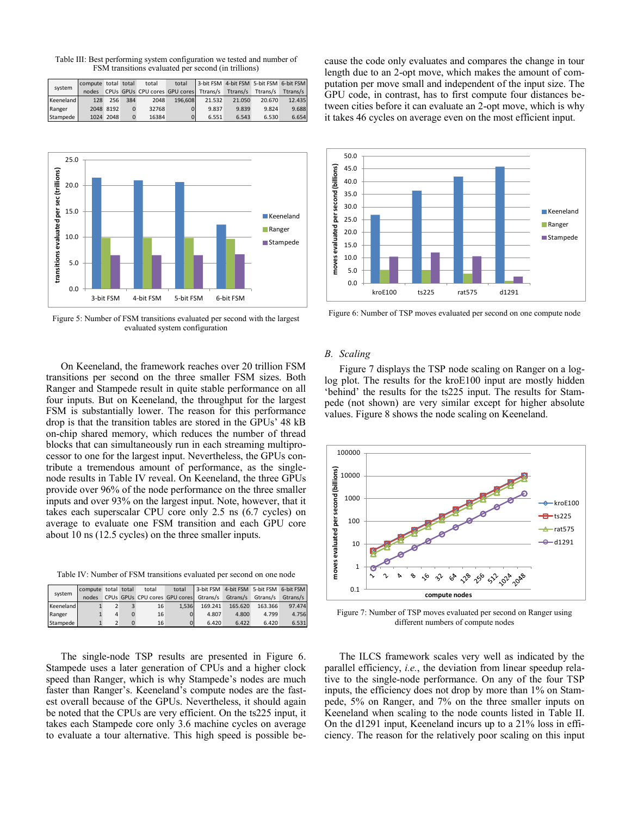<span id="page-6-0"></span>Table III: Best performing system configuration we tested and number of FSM transitions evaluated per second (in trillions)

| system           | compute total total |           |     | total | total                                  |        |          |          | 3-bit FSM 4-bit FSM 5-bit FSM 6-bit FSM |
|------------------|---------------------|-----------|-----|-------|----------------------------------------|--------|----------|----------|-----------------------------------------|
|                  | nodes               |           |     |       | CPUs GPUs CPU cores GPU cores Ttrans/s |        | Ttrans/s | Ttrans/s | Ttrans/s                                |
| <b>Keeneland</b> | 128                 | 256       | 384 | 2048  | 196.608                                | 21.532 | 21.050   | 20.670   | 12.435                                  |
| Ranger           |                     | 2048 8192 |     | 32768 |                                        | 9.837  | 9.839    | 9.824    | 9.688                                   |
| Stampede         |                     | 1024 2048 |     | 16384 |                                        | 6.551  | 6.543    | 6.530    | 6.654                                   |



<span id="page-6-1"></span>Figure 5: Number of FSM transitions evaluated per second with the largest evaluated system configuration

On Keeneland, the framework reaches over 20 trillion FSM transitions per second on the three smaller FSM sizes. Both Ranger and Stampede result in quite stable performance on all four inputs. But on Keeneland, the throughput for the largest FSM is substantially lower. The reason for this performance drop is that the transition tables are stored in the GPUs" 48 kB on-chip shared memory, which reduces the number of thread blocks that can simultaneously run in each streaming multiprocessor to one for the largest input. Nevertheless, the GPUs contribute a tremendous amount of performance, as the singlenode results in [Table IV](#page-6-2) reveal. On Keeneland, the three GPUs provide over 96% of the node performance on the three smaller inputs and over 93% on the largest input. Note, however, that it takes each superscalar CPU core only 2.5 ns (6.7 cycles) on average to evaluate one FSM transition and each GPU core about 10 ns (12.5 cycles) on the three smaller inputs.

<span id="page-6-2"></span>Table IV: Number of FSM transitions evaluated per second on one node

|           | compute total total |  | total | total                                  |         |          |          | 3-bit FSM 4-bit FSM 5-bit FSM 6-bit FSM |
|-----------|---------------------|--|-------|----------------------------------------|---------|----------|----------|-----------------------------------------|
| system    | nodes               |  |       | CPUs GPUs CPU cores GPU cores Gtrans/s |         | Gtrans/s | Gtrans/s | Gtrans/s                                |
| Keeneland |                     |  | 16    | 1.536                                  | 169.241 | 165.620  | 163.366  | 97.474                                  |
| Ranger    |                     |  | 16    |                                        | 4.807   | 4.800    | 4.799    | 4.756                                   |
| Stampede  |                     |  | 16    |                                        | 6.420   | 6.422    | 6.420    | 6.531                                   |

The single-node TSP results are presented in [Figure 6.](#page-6-3) Stampede uses a later generation of CPUs and a higher clock speed than Ranger, which is why Stampede's nodes are much faster than Ranger's. Keeneland's compute nodes are the fastest overall because of the GPUs. Nevertheless, it should again be noted that the CPUs are very efficient. On the ts225 input, it takes each Stampede core only 3.6 machine cycles on average to evaluate a tour alternative. This high speed is possible because the code only evaluates and compares the change in tour length due to an 2-opt move, which makes the amount of computation per move small and independent of the input size. The GPU code, in contrast, has to first compute four distances between cities before it can evaluate an 2-opt move, which is why it takes 46 cycles on average even on the most efficient input.



<span id="page-6-3"></span>Figure 6: Number of TSP moves evaluated per second on one compute node

## *B. Scaling*

[Figure 7](#page-6-4) displays the TSP node scaling on Ranger on a loglog plot. The results for the kroE100 input are mostly hidden "behind" the results for the ts225 input. The results for Stampede (not shown) are very similar except for higher absolute values. [Figure 8](#page-7-0) shows the node scaling on Keeneland.



<span id="page-6-4"></span>Figure 7: Number of TSP moves evaluated per second on Ranger using different numbers of compute nodes

The ILCS framework scales very well as indicated by the parallel efficiency, *i.e.*, the deviation from linear speedup relative to the single-node performance. On any of the four TSP inputs, the efficiency does not drop by more than 1% on Stampede, 5% on Ranger, and 7% on the three smaller inputs on Keeneland when scaling to the node counts listed in [Table II.](#page-5-2) On the d1291 input, Keeneland incurs up to a 21% loss in efficiency. The reason for the relatively poor scaling on this input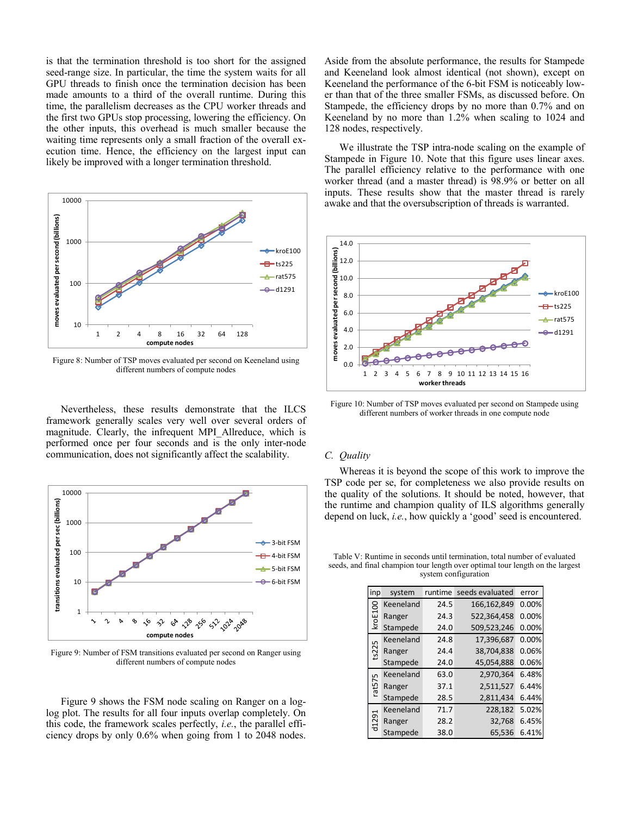is that the termination threshold is too short for the assigned seed-range size. In particular, the time the system waits for all GPU threads to finish once the termination decision has been made amounts to a third of the overall runtime. During this time, the parallelism decreases as the CPU worker threads and the first two GPUs stop processing, lowering the efficiency. On the other inputs, this overhead is much smaller because the waiting time represents only a small fraction of the overall execution time. Hence, the efficiency on the largest input can likely be improved with a longer termination threshold.



<span id="page-7-0"></span>Figure 8: Number of TSP moves evaluated per second on Keeneland using different numbers of compute nodes

Nevertheless, these results demonstrate that the ILCS framework generally scales very well over several orders of magnitude. Clearly, the infrequent MPI\_Allreduce, which is performed once per four seconds and is the only inter-node communication, does not significantly affect the scalability.



<span id="page-7-1"></span>Figure 9: Number of FSM transitions evaluated per second on Ranger using different numbers of compute nodes

[Figure 9](#page-7-1) shows the FSM node scaling on Ranger on a loglog plot. The results for all four inputs overlap completely. On this code, the framework scales perfectly, *i.e.*, the parallel efficiency drops by only 0.6% when going from 1 to 2048 nodes. Aside from the absolute performance, the results for Stampede and Keeneland look almost identical (not shown), except on Keeneland the performance of the 6-bit FSM is noticeably lower than that of the three smaller FSMs, as discussed before. On Stampede, the efficiency drops by no more than 0.7% and on Keeneland by no more than 1.2% when scaling to 1024 and 128 nodes, respectively.

We illustrate the TSP intra-node scaling on the example of Stampede in [Figure 10.](#page-7-2) Note that this figure uses linear axes. The parallel efficiency relative to the performance with one worker thread (and a master thread) is 98.9% or better on all inputs. These results show that the master thread is rarely awake and that the oversubscription of threads is warranted.



<span id="page-7-2"></span>Figure 10: Number of TSP moves evaluated per second on Stampede using different numbers of worker threads in one compute node

# *C. Quality*

Whereas it is beyond the scope of this work to improve the TSP code per se, for completeness we also provide results on the quality of the solutions. It should be noted, however, that the runtime and champion quality of ILS algorithms generally depend on luck, *i.e.*, how quickly a 'good' seed is encountered.

<span id="page-7-3"></span>Table V: Runtime in seconds until termination, total number of evaluated seeds, and final champion tour length over optimal tour length on the largest system configuration

| inp    | system    | runtime | seeds evaluated | error |
|--------|-----------|---------|-----------------|-------|
| 8      | Keeneland | 24.5    | 166,162,849     | 0.00% |
| kroE10 | Ranger    | 24.3    | 522,364,458     | 0.00% |
|        | Stampede  | 24.0    | 509,523,246     | 0.00% |
|        | Keeneland | 24.8    | 17,396,687      | 0.00% |
| ts225  | Ranger    | 24.4    | 38,704,838      | 0.06% |
|        | Stampede  | 24.0    | 45,054,888      | 0.06% |
|        | Keeneland | 63.0    | 2,970,364       | 6.48% |
| rat575 | Ranger    | 37.1    | 2,511,527       | 6.44% |
|        | Stampede  | 28.5    | 2,811,434       | 6.44% |
|        | Keeneland | 71.7    | 228,182         | 5.02% |
| d1291  | Ranger    | 28.2    | 32,768          | 6.45% |
|        | Stampede  | 38.0    | 65,536          | 6.41% |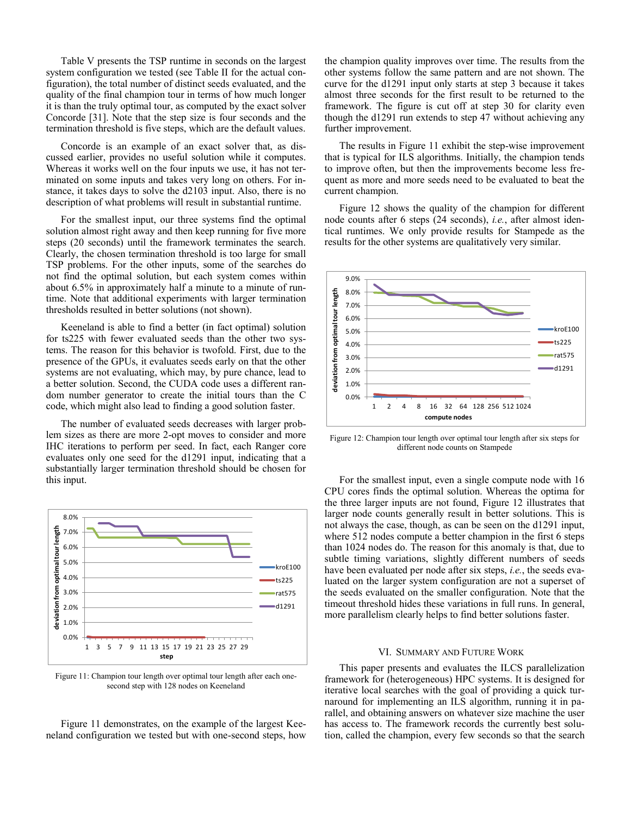[Table V](#page-7-3) presents the TSP runtime in seconds on the largest system configuration we tested (see [Table II](#page-5-2) for the actual configuration), the total number of distinct seeds evaluated, and the quality of the final champion tour in terms of how much longer it is than the truly optimal tour, as computed by the exact solver Concorde [\[31\].](#page-9-28) Note that the step size is four seconds and the termination threshold is five steps, which are the default values.

Concorde is an example of an exact solver that, as discussed earlier, provides no useful solution while it computes. Whereas it works well on the four inputs we use, it has not terminated on some inputs and takes very long on others. For instance, it takes days to solve the d2103 input. Also, there is no description of what problems will result in substantial runtime.

For the smallest input, our three systems find the optimal solution almost right away and then keep running for five more steps (20 seconds) until the framework terminates the search. Clearly, the chosen termination threshold is too large for small TSP problems. For the other inputs, some of the searches do not find the optimal solution, but each system comes within about 6.5% in approximately half a minute to a minute of runtime. Note that additional experiments with larger termination thresholds resulted in better solutions (not shown).

Keeneland is able to find a better (in fact optimal) solution for ts225 with fewer evaluated seeds than the other two systems. The reason for this behavior is twofold. First, due to the presence of the GPUs, it evaluates seeds early on that the other systems are not evaluating, which may, by pure chance, lead to a better solution. Second, the CUDA code uses a different random number generator to create the initial tours than the C code, which might also lead to finding a good solution faster.

The number of evaluated seeds decreases with larger problem sizes as there are more 2-opt moves to consider and more IHC iterations to perform per seed. In fact, each Ranger core evaluates only one seed for the d1291 input, indicating that a substantially larger termination threshold should be chosen for this input.



<span id="page-8-1"></span>Figure 11: Champion tour length over optimal tour length after each onesecond step with 128 nodes on Keeneland

[Figure 11](#page-8-1) demonstrates, on the example of the largest Keeneland configuration we tested but with one-second steps, how the champion quality improves over time. The results from the other systems follow the same pattern and are not shown. The curve for the d1291 input only starts at step 3 because it takes almost three seconds for the first result to be returned to the framework. The figure is cut off at step 30 for clarity even though the d1291 run extends to step 47 without achieving any further improvement.

The results in [Figure 11](#page-8-1) exhibit the step-wise improvement that is typical for ILS algorithms. Initially, the champion tends to improve often, but then the improvements become less frequent as more and more seeds need to be evaluated to beat the current champion.

[Figure 12](#page-8-2) shows the quality of the champion for different node counts after 6 steps (24 seconds), *i.e.*, after almost identical runtimes. We only provide results for Stampede as the results for the other systems are qualitatively very similar.



<span id="page-8-2"></span>Figure 12: Champion tour length over optimal tour length after six steps for different node counts on Stampede

For the smallest input, even a single compute node with 16 CPU cores finds the optimal solution. Whereas the optima for the three larger inputs are not found, [Figure 12](#page-8-2) illustrates that larger node counts generally result in better solutions. This is not always the case, though, as can be seen on the d1291 input, where 512 nodes compute a better champion in the first 6 steps than 1024 nodes do. The reason for this anomaly is that, due to subtle timing variations, slightly different numbers of seeds have been evaluated per node after six steps, *i.e.*, the seeds evaluated on the larger system configuration are not a superset of the seeds evaluated on the smaller configuration. Note that the timeout threshold hides these variations in full runs. In general, more parallelism clearly helps to find better solutions faster.

# VI. SUMMARY AND FUTURE WORK

<span id="page-8-0"></span>This paper presents and evaluates the ILCS parallelization framework for (heterogeneous) HPC systems. It is designed for iterative local searches with the goal of providing a quick turnaround for implementing an ILS algorithm, running it in parallel, and obtaining answers on whatever size machine the user has access to. The framework records the currently best solution, called the champion, every few seconds so that the search